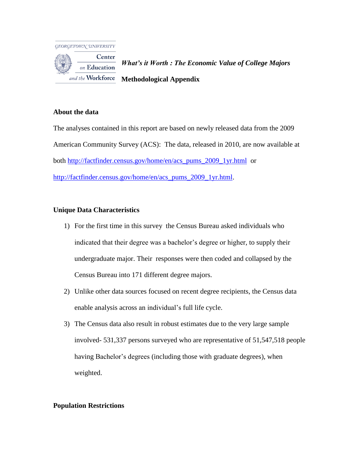

Center *What's it Worth : The Economic Value of College Majors* on Education and the Workforce **Methodological Appendix**

### **About the data**

The analyses contained in this report are based on newly released data from the 2009 American Community Survey (ACS): The data, released in 2010, are now available at both [http://factfinder.census.gov/home/en/acs\\_pums\\_2009\\_1yr.html](http://factfinder.census.gov/home/en/acs_pums_2009_1yr.html) or [http://factfinder.census.gov/home/en/acs\\_pums\\_2009\\_1yr.html.](http://factfinder.census.gov/home/en/acs_pums_2009_1yr.html)

# **Unique Data Characteristics**

- 1) For the first time in this survey the Census Bureau asked individuals who indicated that their degree was a bachelor's degree or higher, to supply their undergraduate major. Their responses were then coded and collapsed by the Census Bureau into 171 different degree majors.
- 2) Unlike other data sources focused on recent degree recipients, the Census data enable analysis across an individual's full life cycle.
- 3) The Census data also result in robust estimates due to the very large sample involved- 531,337 persons surveyed who are representative of 51,547,518 people having Bachelor's degrees (including those with graduate degrees), when weighted.

# **Population Restrictions**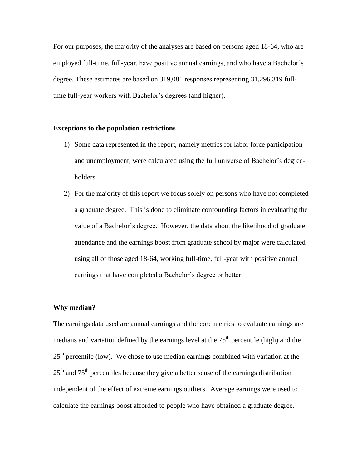For our purposes, the majority of the analyses are based on persons aged 18-64, who are employed full-time, full-year, have positive annual earnings, and who have a Bachelor's degree. These estimates are based on 319,081 responses representing 31,296,319 fulltime full-year workers with Bachelor's degrees (and higher).

#### **Exceptions to the population restrictions**

- 1) Some data represented in the report, namely metrics for labor force participation and unemployment, were calculated using the full universe of Bachelor's degreeholders.
- 2) For the majority of this report we focus solely on persons who have not completed a graduate degree. This is done to eliminate confounding factors in evaluating the value of a Bachelor's degree. However, the data about the likelihood of graduate attendance and the earnings boost from graduate school by major were calculated using all of those aged 18-64, working full-time, full-year with positive annual earnings that have completed a Bachelor's degree or better.

### **Why median?**

The earnings data used are annual earnings and the core metrics to evaluate earnings are medians and variation defined by the earnings level at the  $75<sup>th</sup>$  percentile (high) and the  $25<sup>th</sup>$  percentile (low). We chose to use median earnings combined with variation at the  $25<sup>th</sup>$  and  $75<sup>th</sup>$  percentiles because they give a better sense of the earnings distribution independent of the effect of extreme earnings outliers. Average earnings were used to calculate the earnings boost afforded to people who have obtained a graduate degree.